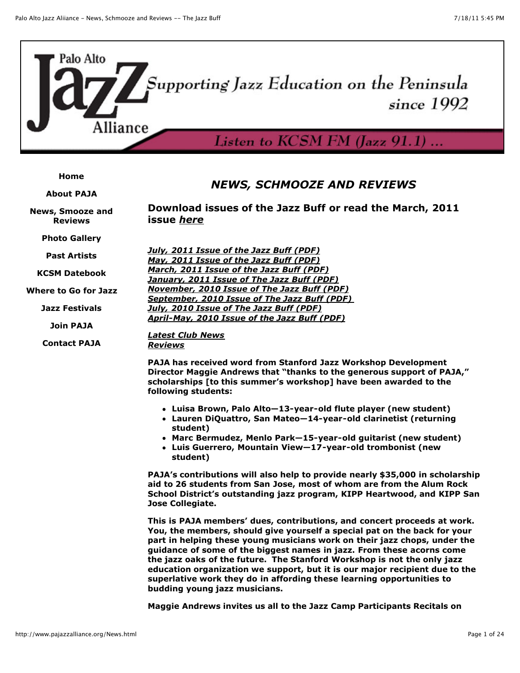

#### **[Home](http://www.pajazzalliance.org/index.html)**

**[About PAJA](http://www.pajazzalliance.org/AboutPAJA.html)**

**[News, Smooze and](http://www.pajazzalliance.org/News.html) Reviews**

**[Photo Gallery](http://www.pajazzalliance.org/Photos.html)**

**[Past Artists](http://www.pajazzalliance.org/PastArtists.html)**

**[KCSM Datebook](http://kcsm.org/datebook/index.php)**

**[Where to Go for Jazz](http://www.pajazzalliance.org/Venues.html)**

**[Jazz Festivals](http://www.pajazzalliance.org/Festivals.html)**

**[Join PAJA](http://www.pajazzalliance.org/Join.html)**

**[Contact PAJA](http://www.pajazzalliance.org/Contact.html)**

# *NEWS, SCHMOOZE AND REVIEWS*

**Download issues of the Jazz Buff or read the March, 2011 issue** *[here](http://www.pajazzalliance.org/Documents/JazzBuff_March11.pdf)*

| <b>July, 2011 Issue of the Jazz Buff (PDF)</b>     |
|----------------------------------------------------|
| May, 2011 Issue of the Jazz Buff (PDF)             |
| March, 2011 Issue of the Jazz Buff (PDF)           |
| January, 2011 Issue of The Jazz Buff (PDF)         |
| <b>November, 2010 Issue of The Jazz Buff (PDF)</b> |
| September, 2010 Issue of The Jazz Buff (PDF)       |
| July, 2010 Issue of The Jazz Buff (PDF)            |
| April-May, 2010 Issue of the Jazz Buff (PDF)       |

*[Latest Club News](http://www.pajazzalliance.org/News.html#ClubNews) [Reviews](http://www.pajazzalliance.org/News.html#Reviews)*

**PAJA has received word from Stanford Jazz Workshop Development Director Maggie Andrews that "thanks to the generous support of PAJA," scholarships [to this summer's workshop] have been awarded to the following students:**

- **Luisa Brown, Palo Alto—13-year-old flute player (new student)**
- **Lauren DiQuattro, San Mateo—14-year-old clarinetist (returning student)**
- **Marc Bermudez, Menlo Park—15-year-old guitarist (new student)**
- **Luis Guerrero, Mountain View—17-year-old trombonist (new student)**

**PAJA's contributions will also help to provide nearly \$35,000 in scholarship aid to 26 students from San Jose, most of whom are from the Alum Rock School District's outstanding jazz program, KIPP Heartwood, and KIPP San Jose Collegiate.**

**This is PAJA members' dues, contributions, and concert proceeds at work. You, the members, should give yourself a special pat on the back for your part in helping these young musicians work on their jazz chops, under the guidance of some of the biggest names in jazz. From these acorns come the jazz oaks of the future. The Stanford Workshop is not the only jazz education organization we support, but it is our major recipient due to the superlative work they do in affording these learning opportunities to budding young jazz musicians.**

**Maggie Andrews invites us all to the Jazz Camp Participants Recitals on**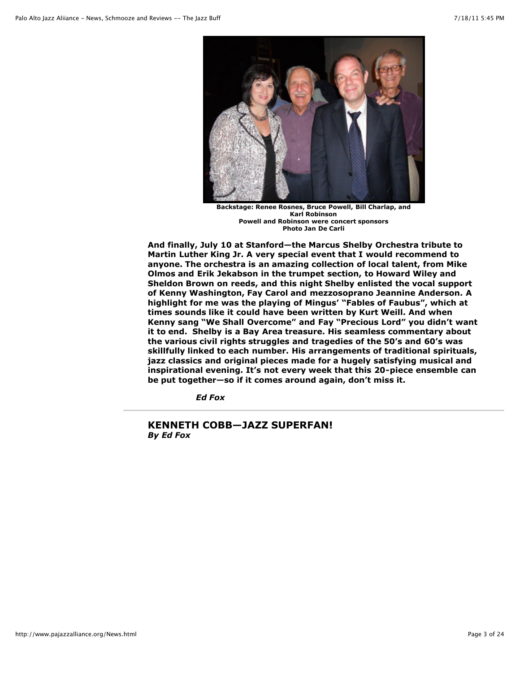

**Backstage: Renee Rosnes, Bruce Powell, Bill Charlap, and Karl Robinson Powell and Robinson were concert sponsors Photo Jan De Carli**

**And finally, July 10 at Stanford—the Marcus Shelby Orchestra tribute to Martin Luther King Jr. A very special event that I would recommend to anyone. The orchestra is an amazing collection of local talent, from Mike Olmos and Erik Jekabson in the trumpet section, to Howard Wiley and Sheldon Brown on reeds, and this night Shelby enlisted the vocal support of Kenny Washington, Fay Carol and mezzosoprano Jeannine Anderson. A highlight for me was the playing of Mingus' "Fables of Faubus", which at times sounds like it could have been written by Kurt Weill. And when Kenny sang "We Shall Overcome" and Fay "Precious Lord" you didn't want it to end. Shelby is a Bay Area treasure. His seamless commentary about the various civil rights struggles and tragedies of the 50's and 60's was skillfully linked to each number. His arrangements of traditional spirituals, jazz classics and original pieces made for a hugely satisfying musical and inspirational evening. It's not every week that this 20-piece ensemble can be put together—so if it comes around again, don't miss it.**

*Ed Fox*

## **KENNETH COBB—JAZZ SUPERFAN!** *By Ed Fox*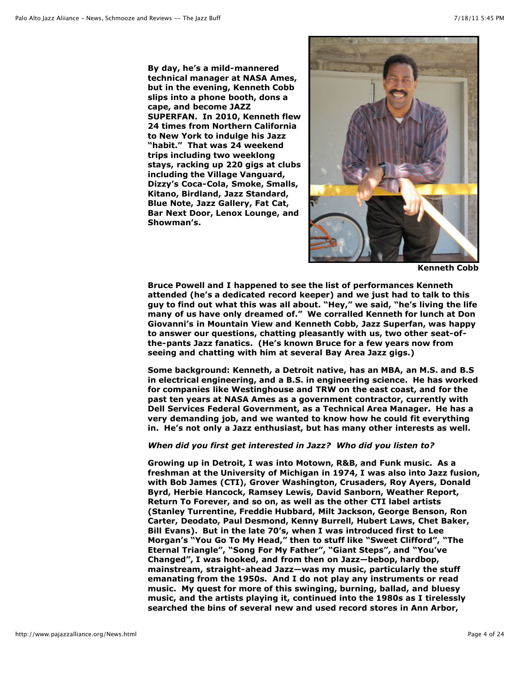**By day, he's a mild-mannered technical manager at NASA Ames, but in the evening, Kenneth Cobb slips into a phone booth, dons a cape, and become JAZZ SUPERFAN. In 2010, Kenneth flew 24 times from Northern California to New York to indulge his Jazz "habit." That was 24 weekend trips including two weeklong stays, racking up 220 gigs at clubs including the Village Vanguard, Dizzy's Coca-Cola, Smoke, Smalls, Kitano, Birdland, Jazz Standard, Blue Note, Jazz Gallery, Fat Cat, Bar Next Door, Lenox Lounge, and Showman's.**



**Kenneth Cobb**

**Bruce Powell and I happened to see the list of performances Kenneth attended (he's a dedicated record keeper) and we just had to talk to this guy to find out what this was all about. "Hey," we said, "he's living the life many of us have only dreamed of." We corralled Kenneth for lunch at Don Giovanni's in Mountain View and Kenneth Cobb, Jazz Superfan, was happy to answer our questions, chatting pleasantly with us, two other seat-ofthe-pants Jazz fanatics. (He's known Bruce for a few years now from seeing and chatting with him at several Bay Area Jazz gigs.)**

**Some background: Kenneth, a Detroit native, has an MBA, an M.S. and B.S in electrical engineering, and a B.S. in engineering science. He has worked for companies like Westinghouse and TRW on the east coast, and for the past ten years at NASA Ames as a government contractor, currently with Dell Services Federal Government, as a Technical Area Manager. He has a very demanding job, and we wanted to know how he could fit everything in. He's not only a Jazz enthusiast, but has many other interests as well.**

### *When did you first get interested in Jazz? Who did you listen to?*

**Growing up in Detroit, I was into Motown, R&B, and Funk music. As a freshman at the University of Michigan in 1974, I was also into Jazz fusion, with Bob James (CTI), Grover Washington, Crusaders, Roy Ayers, Donald Byrd, Herbie Hancock, Ramsey Lewis, David Sanborn, Weather Report, Return To Forever, and so on, as well as the other CTI label artists (Stanley Turrentine, Freddie Hubbard, Milt Jackson, George Benson, Ron Carter, Deodato, Paul Desmond, Kenny Burrell, Hubert Laws, Chet Baker, Bill Evans). But in the late 70's, when I was introduced first to Lee Morgan's "You Go To My Head," then to stuff like "Sweet Clifford", "The Eternal Triangle", "Song For My Father", "Giant Steps", and "You've Changed", I was hooked, and from then on Jazz—bebop, hardbop, mainstream, straight-ahead Jazz—was my music, particularly the stuff emanating from the 1950s. And I do not play any instruments or read music. My quest for more of this swinging, burning, ballad, and bluesy music, and the artists playing it, continued into the 1980s as I tirelessly searched the bins of several new and used record stores in Ann Arbor,**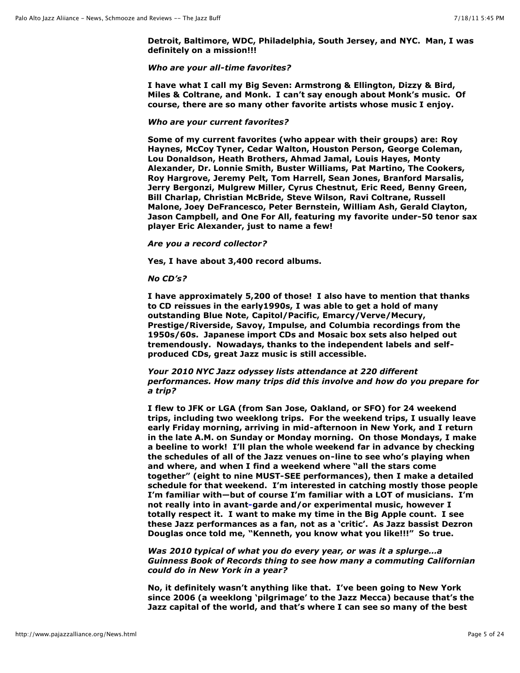**Detroit, Baltimore, WDC, Philadelphia, South Jersey, and NYC. Man, I was definitely on a mission!!!**

#### *Who are your all-time favorites?*

**I have what I call my Big Seven: Armstrong & Ellington, Dizzy & Bird, Miles & Coltrane, and Monk. I can't say enough about Monk's music. Of course, there are so many other favorite artists whose music I enjoy.**

## *Who are your current favorites?*

**Some of my current favorites (who appear with their groups) are: Roy Haynes, McCoy Tyner, Cedar Walton, Houston Person, George Coleman, Lou Donaldson, Heath Brothers, Ahmad Jamal, Louis Hayes, Monty Alexander, Dr. Lonnie Smith, Buster Williams, Pat Martino, The Cookers, Roy Hargrove, Jeremy Pelt, Tom Harrell, Sean Jones, Branford Marsalis, Jerry Bergonzi, Mulgrew Miller, Cyrus Chestnut, Eric Reed, Benny Green, Bill Charlap, Christian McBride, Steve Wilson, Ravi Coltrane, Russell Malone, Joey DeFrancesco, Peter Bernstein, William Ash, Gerald Clayton, Jason Campbell, and One For All, featuring my favorite under-50 tenor sax player Eric Alexander, just to name a few!**

#### *Are you a record collector?*

**Yes, I have about 3,400 record albums.**

#### *No CD's?*

**I have approximately 5,200 of those! I also have to mention that thanks to CD reissues in the early1990s, I was able to get a hold of many outstanding Blue Note, Capitol/Pacific, Emarcy/Verve/Mecury, Prestige/Riverside, Savoy, Impulse, and Columbia recordings from the 1950s/60s. Japanese import CDs and Mosaic box sets also helped out tremendously. Nowadays, thanks to the independent labels and selfproduced CDs, great Jazz music is still accessible.**

### *Your 2010 NYC Jazz odyssey lists attendance at 220 different performances. How many trips did this involve and how do you prepare for a trip?*

**I flew to JFK or LGA (from San Jose, Oakland, or SFO) for 24 weekend trips, including two weeklong trips. For the weekend trips, I usually leave early Friday morning, arriving in mid-afternoon in New York, and I return in the late A.M. on Sunday or Monday morning. On those Mondays, I make a beeline to work! I'll plan the whole weekend far in advance by checking the schedules of all of the Jazz venues on-line to see who's playing when and where, and when I find a weekend where "all the stars come together" (eight to nine MUST-SEE performances), then I make a detailed schedule for that weekend. I'm interested in catching mostly those people I'm familiar with—but of course I'm familiar with a LOT of musicians. I'm not really into in avant-garde and/or experimental music, however I totally respect it. I want to make my time in the Big Apple count. I see these Jazz performances as a fan, not as a 'critic'. As Jazz bassist Dezron Douglas once told me, "Kenneth, you know what you like!!!" So true.** 

*Was 2010 typical of what you do every year, or was it a splurge…a Guinness Book of Records thing to see how many a commuting Californian could do in New York in a year?*

**No, it definitely wasn't anything like that. I've been going to New York since 2006 (a weeklong 'pilgrimage' to the Jazz Mecca) because that's the Jazz capital of the world, and that's where I can see so many of the best**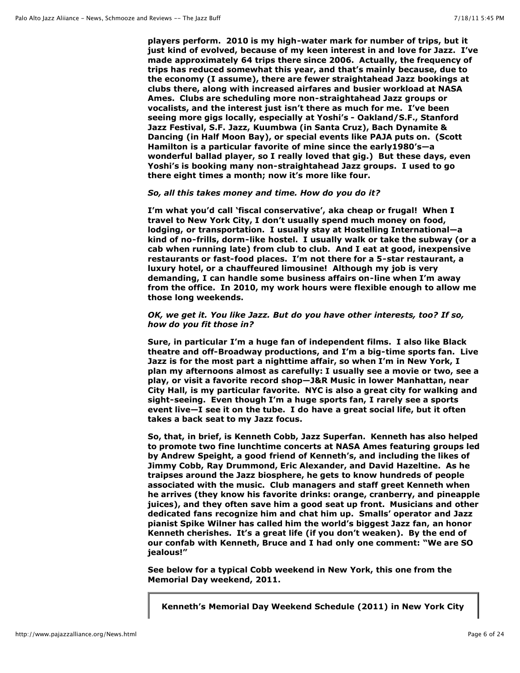**players perform. 2010 is my high-water mark for number of trips, but it just kind of evolved, because of my keen interest in and love for Jazz. I've made approximately 64 trips there since 2006. Actually, the frequency of trips has reduced somewhat this year, and that's mainly because, due to the economy (I assume), there are fewer straightahead Jazz bookings at clubs there, along with increased airfares and busier workload at NASA Ames. Clubs are scheduling more non-straightahead Jazz groups or vocalists, and the interest just isn't there as much for me. I've been seeing more gigs locally, especially at Yoshi's - Oakland/S.F., Stanford Jazz Festival, S.F. Jazz, Kuumbwa (in Santa Cruz), Bach Dynamite & Dancing (in Half Moon Bay), or special events like PAJA puts on. (Scott Hamilton is a particular favorite of mine since the early1980's—a wonderful ballad player, so I really loved that gig.) But these days, even Yoshi's is booking many non-straightahead Jazz groups. I used to go there eight times a month; now it's more like four.**

### *So, all this takes money and time. How do you do it?*

**I'm what you'd call 'fiscal conservative', aka cheap or frugal! When I travel to New York City, I don't usually spend much money on food, lodging, or transportation. I usually stay at Hostelling International—a kind of no-frills, dorm-like hostel. I usually walk or take the subway (or a cab when running late) from club to club. And I eat at good, inexpensive restaurants or fast-food places. I'm not there for a 5-star restaurant, a luxury hotel, or a chauffeured limousine! Although my job is very demanding, I can handle some business affairs on-line when I'm away from the office. In 2010, my work hours were flexible enough to allow me those long weekends.**

## *OK, we get it. You like Jazz. But do you have other interests, too? If so, how do you fit those in?*

**Sure, in particular I'm a huge fan of independent films. I also like Black theatre and off-Broadway productions, and I'm a big-time sports fan. Live Jazz is for the most part a nighttime affair, so when I'm in New York, I plan my afternoons almost as carefully: I usually see a movie or two, see a play, or visit a favorite record shop—J&R Music in lower Manhattan, near City Hall, is my particular favorite. NYC is also a great city for walking and sight-seeing. Even though I'm a huge sports fan, I rarely see a sports event live—I see it on the tube. I do have a great social life, but it often takes a back seat to my Jazz focus.**

**So, that, in brief, is Kenneth Cobb, Jazz Superfan. Kenneth has also helped to promote two fine lunchtime concerts at NASA Ames featuring groups led by Andrew Speight, a good friend of Kenneth's, and including the likes of Jimmy Cobb, Ray Drummond, Eric Alexander, and David Hazeltine. As he traipses around the Jazz biosphere, he gets to know hundreds of people associated with the music. Club managers and staff greet Kenneth when he arrives (they know his favorite drinks: orange, cranberry, and pineapple juices), and they often save him a good seat up front. Musicians and other dedicated fans recognize him and chat him up. Smalls' operator and Jazz pianist Spike Wilner has called him the world's biggest Jazz fan, an honor Kenneth cherishes. It's a great life (if you don't weaken). By the end of our confab with Kenneth, Bruce and I had only one comment: "We are SO jealous!"**

**See below for a typical Cobb weekend in New York, this one from the Memorial Day weekend, 2011.**

**Kenneth's Memorial Day Weekend Schedule (2011) in New York City**